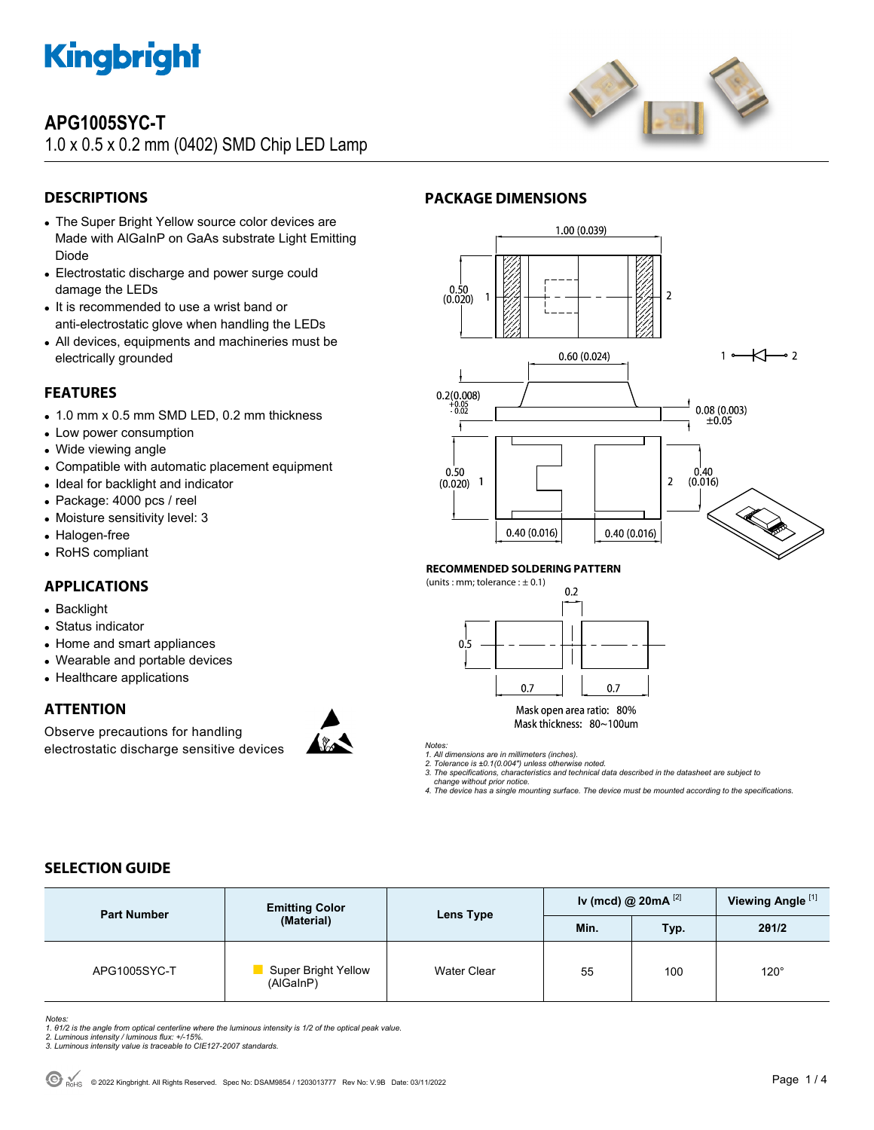

# **APG1005SYC-T**

1.0 x 0.5 x 0.2 mm (0402) SMD Chip LED Lamp



## **DESCRIPTIONS**

- The Super Bright Yellow source color devices are Made with AlGaInP on GaAs substrate Light Emitting Diode
- Electrostatic discharge and power surge could damage the LEDs
- It is recommended to use a wrist band or anti-electrostatic glove when handling the LEDs
- All devices, equipments and machineries must be electrically grounded

### **FEATURES**

- 1.0 mm x 0.5 mm SMD LED, 0.2 mm thickness
- Low power consumption
- Wide viewing angle
- Compatible with automatic placement equipment
- Ideal for backlight and indicator
- Package: 4000 pcs / reel
- Moisture sensitivity level: 3
- Halogen-free
- RoHS compliant

### **APPLICATIONS**

- Backlight
- Status indicator
- Home and smart appliances
- Wearable and portable devices
- Healthcare applications

### **ATTENTION**

Observe precautions for handling electrostatic discharge sensitive devices



1.00 (0.039)  $0.50$ <br>(0.020)  $\overline{z}$  $\overline{\mathsf{K}-}$  2  $0.60(0.024)$  $0.2(0.008)$  $\substack{+0.05\0.02}$  $0.08(0.003)$  $\pm$ 0.05 Ī  $0.50$  $0'$ .40  $\overline{2}$  $(0.016)$  $(0.020)$  $\mathbf{1}$  $0.40(0.016)$  $0.40(0.016)$ 

### **RECOMMENDED SOLDERING PATTERN**

(units : mm; tolerance :  $\pm$  0.1)  $0.2$ 

**PACKAGE DIMENSIONS** 



Mask open area ratio: 80% Mask thickness: 80~100um

*Notes:* 

*1. All dimensions are in millimeters (inches). 2. Tolerance is ±0.1(0.004") unless otherwise noted.* 

*3. The specifications, characteristics and technical data described in the datasheet are subject to* 

 *change without prior notice.* 

*4. The device has a single mounting surface. The device must be mounted according to the specifications.* 

## **SELECTION GUIDE**

| <b>Part Number</b> | <b>Emitting Color</b><br>(Material)     | Lens Type   | Iv (mcd) @ $20mA$ <sup>[2]</sup> |      | Viewing Angle <sup>[1]</sup> |
|--------------------|-----------------------------------------|-------------|----------------------------------|------|------------------------------|
|                    |                                         |             | Min.                             | Typ. | 201/2                        |
| APG1005SYC-T       | <b>Super Bright Yellow</b><br>(AlGaInP) | Water Clear | 55                               | 100  | $120^\circ$                  |

*Notes:* 

- *1. θ1/2 is the angle from optical centerline where the luminous intensity is 1/2 of the optical peak value. 2. Luminous intensity / luminous flux: +/-15%.*
- 
- *3. Luminous intensity value is traceable to CIE127-2007 standards.*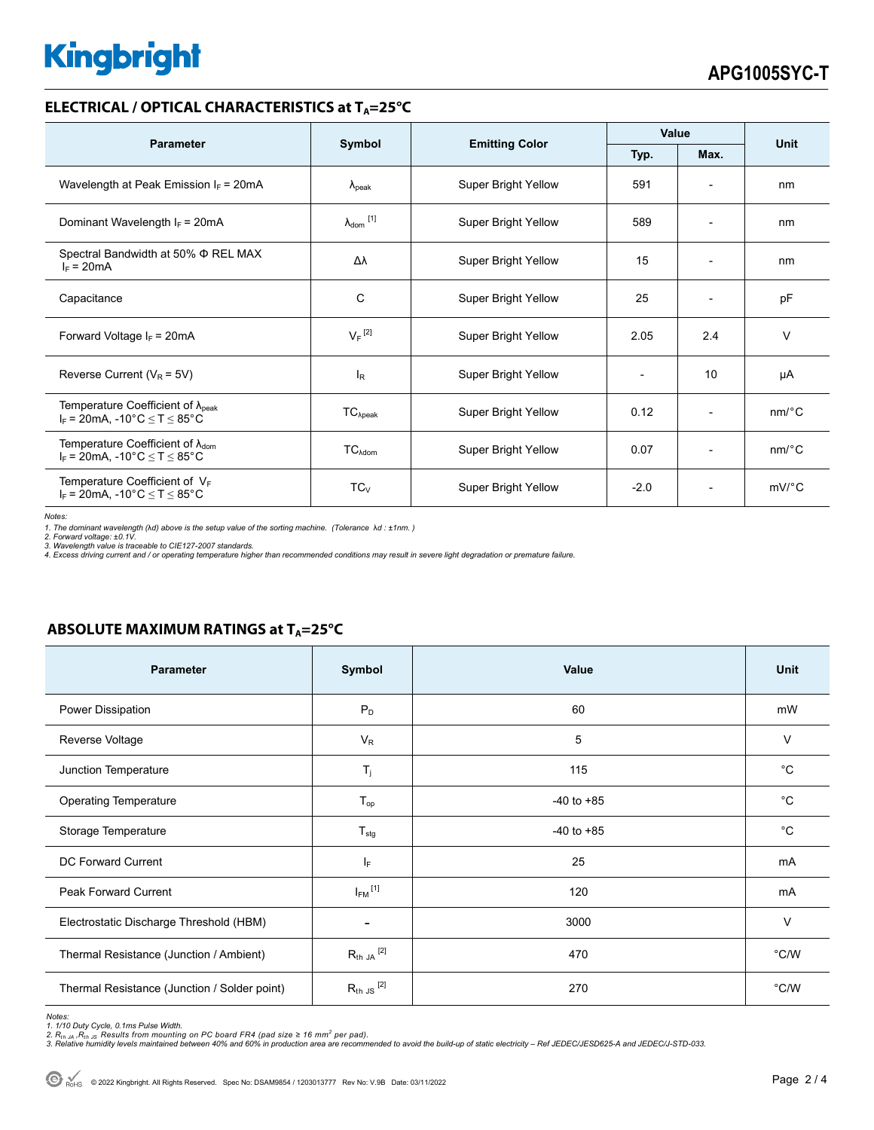# **Kingbright**

### **ELECTRICAL / OPTICAL CHARACTERISTICS at T<sub>A</sub>=25°C**

| <b>Parameter</b>                                                                              | Symbol                     |                            | Value  |                          |                       |
|-----------------------------------------------------------------------------------------------|----------------------------|----------------------------|--------|--------------------------|-----------------------|
|                                                                                               |                            | <b>Emitting Color</b>      | Typ.   | Max.                     | <b>Unit</b>           |
| Wavelength at Peak Emission $I_F$ = 20mA                                                      | $\lambda_{\rm peak}$       | Super Bright Yellow        | 591    | $\overline{\phantom{a}}$ | nm                    |
| Dominant Wavelength $I_F$ = 20mA                                                              | $\lambda_{\text{dom}}$ [1] | Super Bright Yellow        | 589    | $\overline{a}$           | nm                    |
| Spectral Bandwidth at 50% $\Phi$ REL MAX<br>$I_F = 20mA$                                      | Δλ                         | Super Bright Yellow        | 15     | $\overline{\phantom{a}}$ | nm                    |
| Capacitance                                                                                   | С                          | <b>Super Bright Yellow</b> | 25     | $\overline{a}$           | pF                    |
| Forward Voltage $I_F = 20mA$                                                                  | $V_F$ <sup>[2]</sup>       | Super Bright Yellow        | 2.05   | 2.4                      | $\vee$                |
| Reverse Current ( $V_R$ = 5V)                                                                 | l <sub>R</sub>             | Super Bright Yellow        |        | 10                       | μA                    |
| Temperature Coefficient of $\lambda_{\text{peak}}$<br>$I_F$ = 20mA, -10°C $\leq T \leq 85$ °C | $TC_{\lambda peak}$        | Super Bright Yellow        | 0.12   | $\overline{\phantom{a}}$ | $nm$ /°C              |
| Temperature Coefficient of $\lambda_{\text{dom}}$<br>$I_F$ = 20mA, -10°C $\leq T \leq 85$ °C  | $TC_{\lambda dom}$         | <b>Super Bright Yellow</b> | 0.07   |                          | $nm$ <sup>o</sup> $C$ |
| Temperature Coefficient of $V_F$<br>$I_F$ = 20mA, -10°C $\leq T \leq 85$ °C                   | $TC_V$                     | <b>Super Bright Yellow</b> | $-2.0$ | $\overline{a}$           | $mV$ <sup>o</sup> $C$ |

*Notes:* 

1. The dominant wavelength (λd) above is the setup value of the sorting machine. (Tolerance λd : ±1nm. )<br>2. Forward voltage: ±0.1V.<br>3. Wavelength value is traceable to CIE127-2007 standards.<br>4. Excess driving current and /

| Parameter                                    | Symbol                  | Value          | <b>Unit</b>   |
|----------------------------------------------|-------------------------|----------------|---------------|
| Power Dissipation                            | $P_D$                   | 60             | mW            |
| Reverse Voltage                              | $V_R$                   | 5              | $\vee$        |
| Junction Temperature                         | $\mathsf{T}_j$          | 115            | $^{\circ}$ C  |
| <b>Operating Temperature</b>                 | $T_{op}$                | $-40$ to $+85$ | $^{\circ}$ C  |
| Storage Temperature                          | $T_{\text{stg}}$        | $-40$ to $+85$ | $^{\circ}C$   |
| DC Forward Current                           | IF.                     | 25             | mA            |
| Peak Forward Current                         | $I_{FM}$ <sup>[1]</sup> | 120            | mA            |
| Electrostatic Discharge Threshold (HBM)      | -                       | 3000           | $\vee$        |
| Thermal Resistance (Junction / Ambient)      | $R_{th}$ ja $^{[2]}$    | 470            | $\degree$ C/W |
| Thermal Resistance (Junction / Solder point) | $R_{th}$ JS $^{[2]}$    | 270            | °C/W          |

### **ABSOLUTE MAXIMUM RATINGS at T<sub>A</sub>=25°C**

*Notes:* 

<sup>1. 1/10</sup> Duty Cycle, 0.1ms Pulse Width.<br>2. R<sub>th Ja</sub> ,R<sub>h JS</sub> Results from mounting on PC board FR4 (pad size ≥ 16 mm<sup>2</sup> per pad).<br>3. Relative humidity levels maintained between 40% and 60% in production area are recommende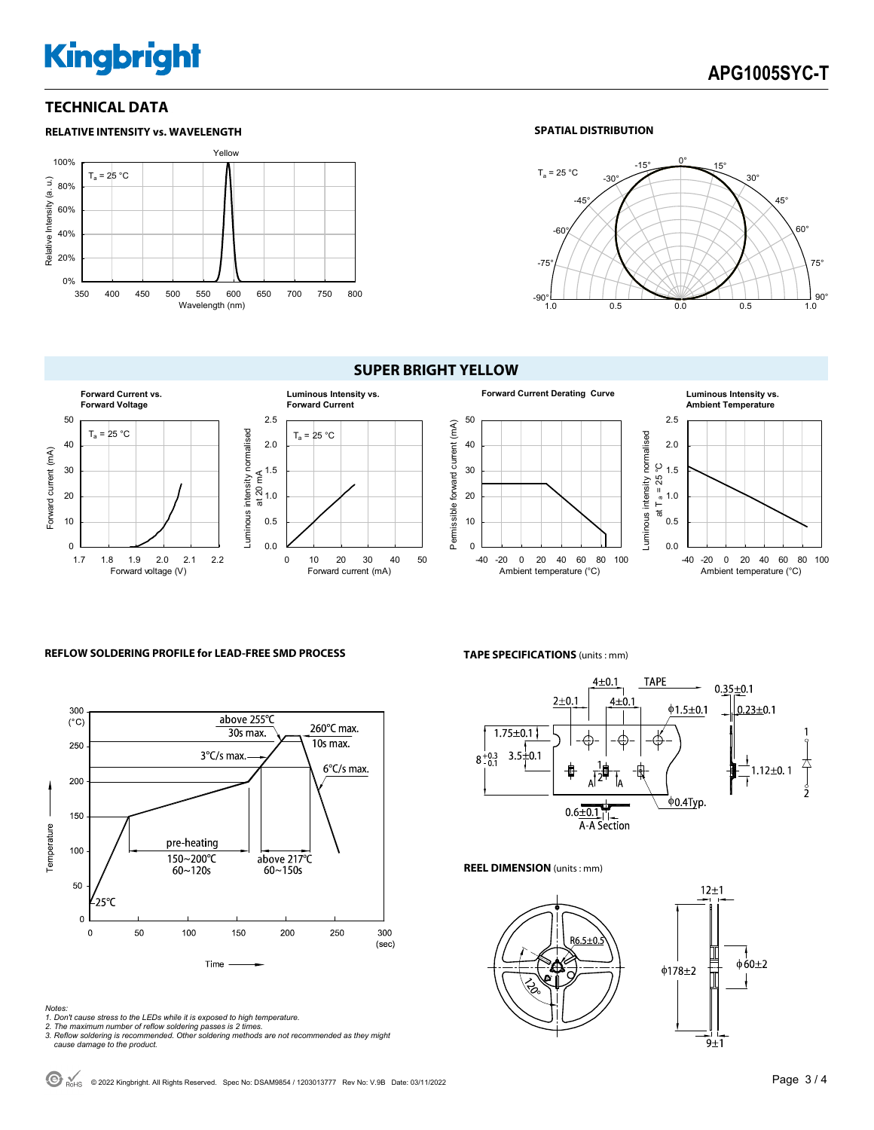# **Kingbright**

### **TECHNICAL DATA**



#### **SPATIAL DISTRIBUTION**



### **SUPER BRIGHT YELLOW**



#### **REFLOW SOLDERING PROFILE for LEAD-FREE SMD PROCESS <b>TAPE SPECIFICATIONS** (units: mm)



*Notes:* 

- *1. Don't cause stress to the LEDs while it is exposed to high temperature.*
- *2. The maximum number of reflow soldering passes is 2 times. 3. Reflow soldering is recommended. Other soldering methods are not recommended as they might*
- *cause damage to the product.*



**REEL DIMENSION** (units : mm)